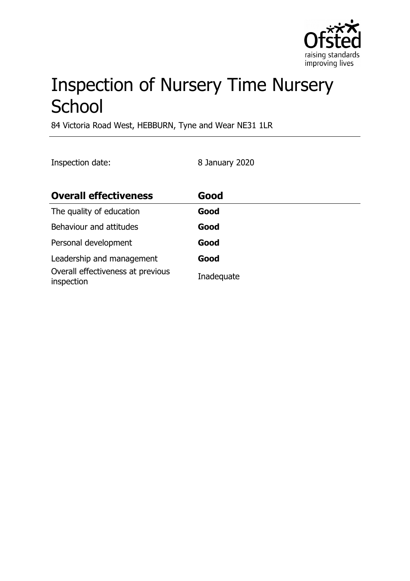

# Inspection of Nursery Time Nursery **School**

84 Victoria Road West, HEBBURN, Tyne and Wear NE31 1LR

Inspection date: 8 January 2020

| <b>Overall effectiveness</b>                    | Good       |
|-------------------------------------------------|------------|
| The quality of education                        | Good       |
| Behaviour and attitudes                         | Good       |
| Personal development                            | Good       |
| Leadership and management                       | Good       |
| Overall effectiveness at previous<br>inspection | Inadequate |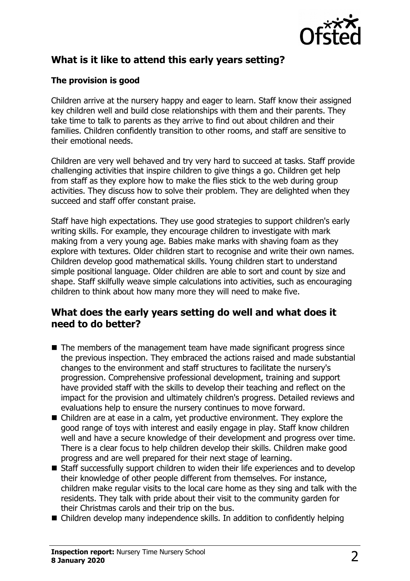

## **What is it like to attend this early years setting?**

### **The provision is good**

Children arrive at the nursery happy and eager to learn. Staff know their assigned key children well and build close relationships with them and their parents. They take time to talk to parents as they arrive to find out about children and their families. Children confidently transition to other rooms, and staff are sensitive to their emotional needs.

Children are very well behaved and try very hard to succeed at tasks. Staff provide challenging activities that inspire children to give things a go. Children get help from staff as they explore how to make the flies stick to the web during group activities. They discuss how to solve their problem. They are delighted when they succeed and staff offer constant praise.

Staff have high expectations. They use good strategies to support children's early writing skills. For example, they encourage children to investigate with mark making from a very young age. Babies make marks with shaving foam as they explore with textures. Older children start to recognise and write their own names. Children develop good mathematical skills. Young children start to understand simple positional language. Older children are able to sort and count by size and shape. Staff skilfully weave simple calculations into activities, such as encouraging children to think about how many more they will need to make five.

## **What does the early years setting do well and what does it need to do better?**

- $\blacksquare$  The members of the management team have made significant progress since the previous inspection. They embraced the actions raised and made substantial changes to the environment and staff structures to facilitate the nursery's progression. Comprehensive professional development, training and support have provided staff with the skills to develop their teaching and reflect on the impact for the provision and ultimately children's progress. Detailed reviews and evaluations help to ensure the nursery continues to move forward.
- $\blacksquare$  Children are at ease in a calm, yet productive environment. They explore the good range of toys with interest and easily engage in play. Staff know children well and have a secure knowledge of their development and progress over time. There is a clear focus to help children develop their skills. Children make good progress and are well prepared for their next stage of learning.
- $\blacksquare$  Staff successfully support children to widen their life experiences and to develop their knowledge of other people different from themselves. For instance, children make regular visits to the local care home as they sing and talk with the residents. They talk with pride about their visit to the community garden for their Christmas carols and their trip on the bus.
- $\blacksquare$  Children develop many independence skills. In addition to confidently helping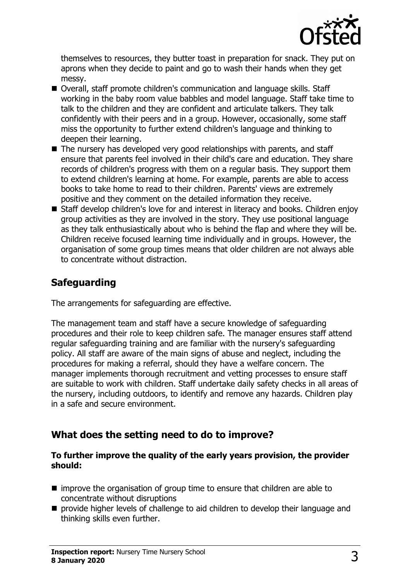

themselves to resources, they butter toast in preparation for snack. They put on aprons when they decide to paint and go to wash their hands when they get messy.

- Overall, staff promote children's communication and language skills. Staff working in the baby room value babbles and model language. Staff take time to talk to the children and they are confident and articulate talkers. They talk confidently with their peers and in a group. However, occasionally, some staff miss the opportunity to further extend children's language and thinking to deepen their learning.
- The nursery has developed very good relationships with parents, and staff ensure that parents feel involved in their child's care and education. They share records of children's progress with them on a regular basis. They support them to extend children's learning at home. For example, parents are able to access books to take home to read to their children. Parents' views are extremely positive and they comment on the detailed information they receive.
- Staff develop children's love for and interest in literacy and books. Children enjoy group activities as they are involved in the story. They use positional language as they talk enthusiastically about who is behind the flap and where they will be. Children receive focused learning time individually and in groups. However, the organisation of some group times means that older children are not always able to concentrate without distraction.

## **Safeguarding**

The arrangements for safeguarding are effective.

The management team and staff have a secure knowledge of safeguarding procedures and their role to keep children safe. The manager ensures staff attend regular safeguarding training and are familiar with the nursery's safeguarding policy. All staff are aware of the main signs of abuse and neglect, including the procedures for making a referral, should they have a welfare concern. The manager implements thorough recruitment and vetting processes to ensure staff are suitable to work with children. Staff undertake daily safety checks in all areas of the nursery, including outdoors, to identify and remove any hazards. Children play in a safe and secure environment.

## **What does the setting need to do to improve?**

#### **To further improve the quality of the early years provision, the provider should:**

- improve the organisation of group time to ensure that children are able to concentrate without disruptions
- $\blacksquare$  provide higher levels of challenge to aid children to develop their language and thinking skills even further.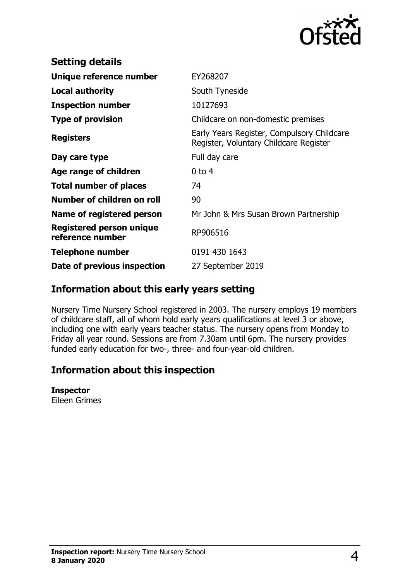

| <b>Setting details</b>                              |                                                                                      |
|-----------------------------------------------------|--------------------------------------------------------------------------------------|
| Unique reference number                             | EY268207                                                                             |
| <b>Local authority</b>                              | South Tyneside                                                                       |
| <b>Inspection number</b>                            | 10127693                                                                             |
| <b>Type of provision</b>                            | Childcare on non-domestic premises                                                   |
| <b>Registers</b>                                    | Early Years Register, Compulsory Childcare<br>Register, Voluntary Childcare Register |
| Day care type                                       | Full day care                                                                        |
| Age range of children                               | $0$ to 4                                                                             |
| <b>Total number of places</b>                       | 74                                                                                   |
| Number of children on roll                          | 90                                                                                   |
| Name of registered person                           | Mr John & Mrs Susan Brown Partnership                                                |
| <b>Registered person unique</b><br>reference number | RP906516                                                                             |
| Telephone number                                    | 0191 430 1643                                                                        |
| Date of previous inspection                         | 27 September 2019                                                                    |

## **Information about this early years setting**

Nursery Time Nursery School registered in 2003. The nursery employs 19 members of childcare staff, all of whom hold early years qualifications at level 3 or above, including one with early years teacher status. The nursery opens from Monday to Friday all year round. Sessions are from 7.30am until 6pm. The nursery provides funded early education for two-, three- and four-year-old children.

## **Information about this inspection**

#### **Inspector**

Eileen Grimes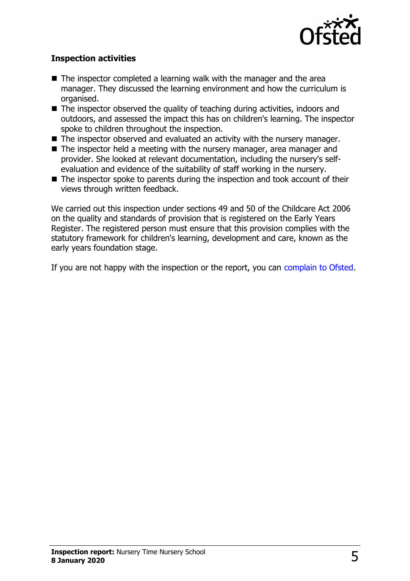

#### **Inspection activities**

- $\blacksquare$  The inspector completed a learning walk with the manager and the area manager. They discussed the learning environment and how the curriculum is organised.
- $\blacksquare$  The inspector observed the quality of teaching during activities, indoors and outdoors, and assessed the impact this has on children's learning. The inspector spoke to children throughout the inspection.
- $\blacksquare$  The inspector observed and evaluated an activity with the nursery manager.
- $\blacksquare$  The inspector held a meeting with the nursery manager, area manager and provider. She looked at relevant documentation, including the nursery's selfevaluation and evidence of the suitability of staff working in the nursery.
- $\blacksquare$  The inspector spoke to parents during the inspection and took account of their views through written feedback.

We carried out this inspection under sections 49 and 50 of the Childcare Act 2006 on the quality and standards of provision that is registered on the Early Years Register. The registered person must ensure that this provision complies with the statutory framework for children's learning, development and care, known as the early years foundation stage.

If you are not happy with the inspection or the report, you can [complain to Ofsted.](http://www.gov.uk/complain-ofsted-report)